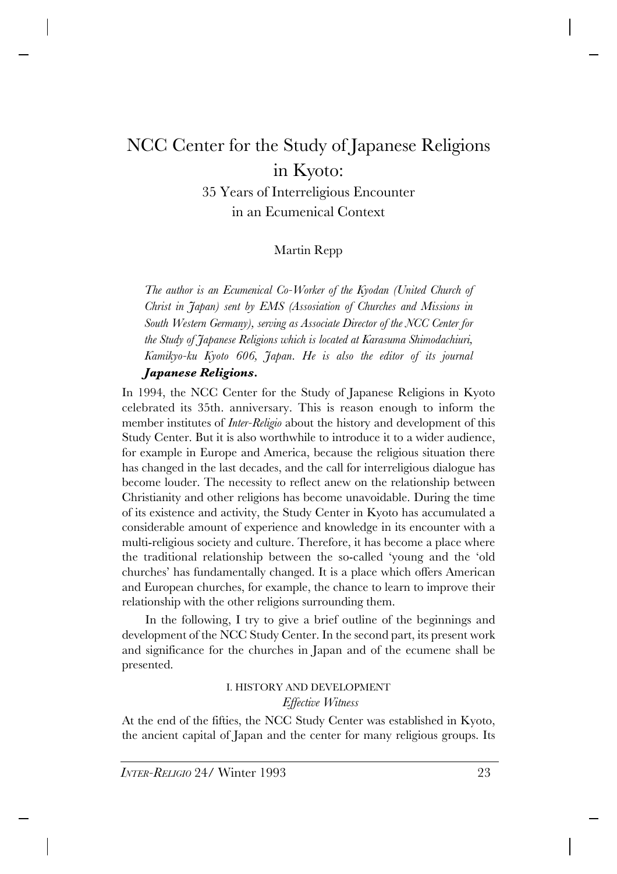# NCC Center for the Study of Japanese Religions in Kyoto: 35 Years of Interreligious Encounter in an Ecumenical Context

# Martin Repp

*The author is an Ecumenical Co-Worker of the Kyodan (United Church of Christ in Japan) sent by EMS (Assosiation of Churches and Missions in South Western Germany), serving as Associate Director of the NCC Center for the Study of Japanese Religions which is located at Karasuma Shimodachiuri, Kamikyo-ku Kyoto 606, Japan. He is also the editor of its journal Japanese Religions.*

In 1994, the NCC Center for the Study of Japanese Religions in Kyoto celebrated its 35th. anniversary. This is reason enough to inform the member institutes of *Inter-Religio* about the history and development of this Study Center. But it is also worthwhile to introduce it to a wider audience, for example in Europe and America, because the religious situation there has changed in the last decades, and the call for interreligious dialogue has become louder. The necessity to reflect anew on the relationship between Christianity and other religions has become unavoidable. During the time of its existence and activity, the Study Center in Kyoto has accumulated a considerable amount of experience and knowledge in its encounter with a multi-religious society and culture. Therefore, it has become a place where the traditional relationship between the so-called 'young and the 'old churches' has fundamentally changed. It is a place which offers American and European churches, for example, the chance to learn to improve their relationship with the other religions surrounding them.

In the following, I try to give a brief outline of the beginnings and development of the NCC Study Center. In the second part, its present work and significance for the churches in Japan and of the ecumene shall be presented.

# I. HISTORY AND DEVELOPMENT *Effective Witness*

At the end of the fifties, the NCC Study Center was established in Kyoto, the ancient capital of Japan and the center for many religious groups. Its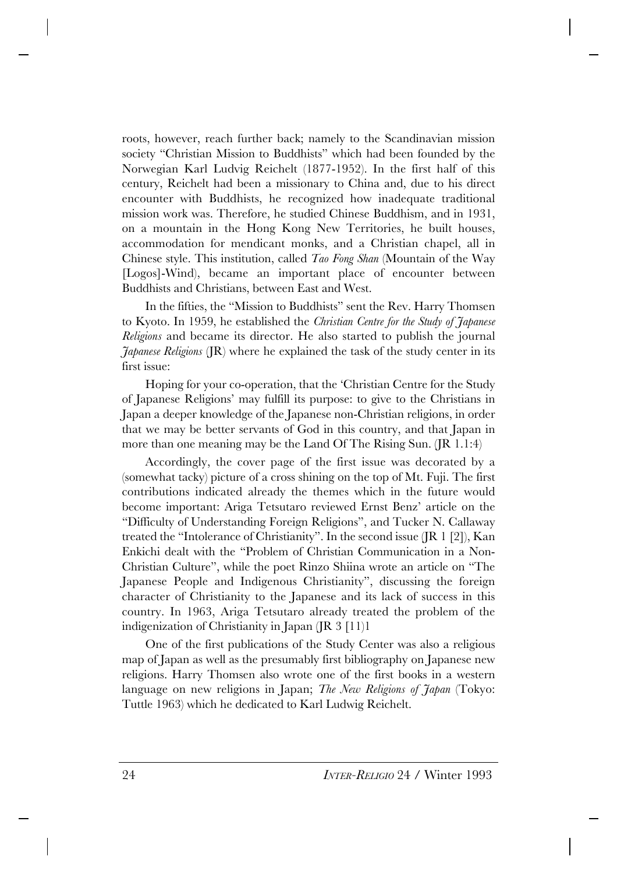roots, however, reach further back; namely to the Scandinavian mission society "Christian Mission to Buddhists" which had been founded by the Norwegian Karl Ludvig Reichelt (1877-1952). In the first half of this century, Reichelt had been a missionary to China and, due to his direct encounter with Buddhists, he recognized how inadequate traditional mission work was. Therefore, he studied Chinese Buddhism, and in 1931, on a mountain in the Hong Kong New Territories, he built houses, accommodation for mendicant monks, and a Christian chapel, all in Chinese style. This institution, called *Tao Fong Shan* (Mountain of the Way [Logos]-Wind), became an important place of encounter between Buddhists and Christians, between East and West.

In the fifties, the "Mission to Buddhists" sent the Rev. Harry Thomsen to Kyoto. In 1959, he established the *Christian Centre for the Study of Japanese Religions* and became its director. He also started to publish the journal *Japanese Religions* (JR) where he explained the task of the study center in its first issue:

Hoping for your co-operation, that the 'Christian Centre for the Study of Japanese Religions' may fulfill its purpose: to give to the Christians in Japan a deeper knowledge of the Japanese non-Christian religions, in order that we may be better servants of God in this country, and that Japan in more than one meaning may be the Land Of The Rising Sun. (JR 1.1:4)

Accordingly, the cover page of the first issue was decorated by a (somewhat tacky) picture of a cross shining on the top of Mt. Fuji. The first contributions indicated already the themes which in the future would become important: Ariga Tetsutaro reviewed Ernst Benz' article on the "Difficulty of Understanding Foreign Religions", and Tucker N. Callaway treated the "Intolerance of Christianity". In the second issue (JR 1 [2]), Kan Enkichi dealt with the "Problem of Christian Communication in a Non-Christian Culture", while the poet Rinzo Shiina wrote an article on "The Japanese People and Indigenous Christianity", discussing the foreign character of Christianity to the Japanese and its lack of success in this country. In 1963, Ariga Tetsutaro already treated the problem of the indigenization of Christianity in Japan (JR 3 [11)1

One of the first publications of the Study Center was also a religious map of Japan as well as the presumably first bibliography on Japanese new religions. Harry Thomsen also wrote one of the first books in a western language on new religions in Japan; *The New Religions of Japan* (Tokyo: Tuttle 1963) which he dedicated to Karl Ludwig Reichelt.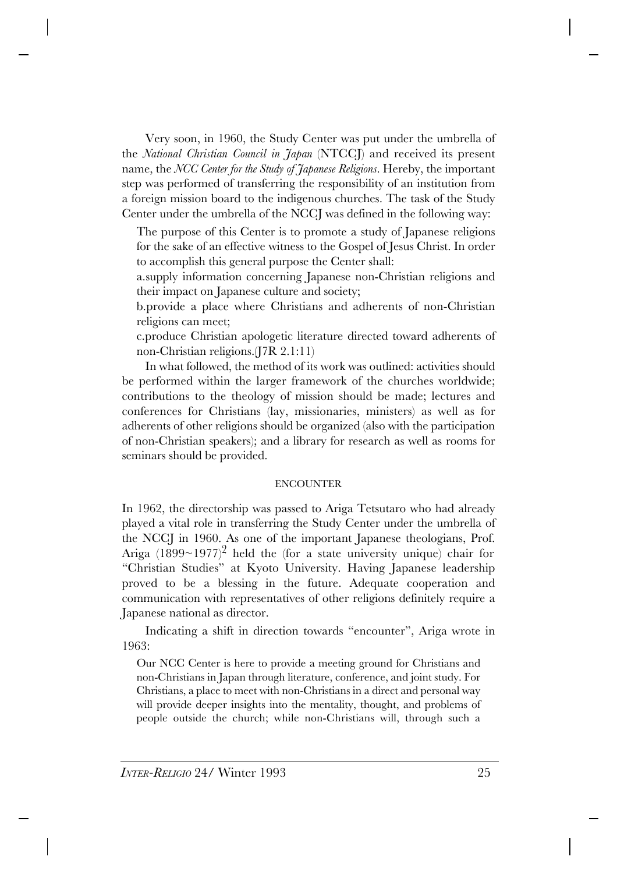Very soon, in 1960, the Study Center was put under the umbrella of the *National Christian Council in Japan* (NTCCJ) and received its present name, the *NCC Center for the Study of Japanese Religions*. Hereby, the important step was performed of transferring the responsibility of an institution from a foreign mission board to the indigenous churches. The task of the Study Center under the umbrella of the NCCJ was defined in the following way:

The purpose of this Center is to promote a study of Japanese religions for the sake of an effective witness to the Gospel of Jesus Christ. In order to accomplish this general purpose the Center shall:

a.supply information concerning Japanese non-Christian religions and their impact on Japanese culture and society;

b.provide a place where Christians and adherents of non-Christian religions can meet;

c.produce Christian apologetic literature directed toward adherents of non-Christian religions.(J7R 2.1:11)

In what followed, the method of its work was outlined: activities should be performed within the larger framework of the churches worldwide; contributions to the theology of mission should be made; lectures and conferences for Christians (lay, missionaries, ministers) as well as for adherents of other religions should be organized (also with the participation of non-Christian speakers); and a library for research as well as rooms for seminars should be provided.

### ENCOUNTER

In 1962, the directorship was passed to Ariga Tetsutaro who had already played a vital role in transferring the Study Center under the umbrella of the NCCJ in 1960. As one of the important Japanese theologians, Prof. Ariga  $(1899 \sim 1977)^2$  held the (for a state university unique) chair for "Christian Studies" at Kyoto University. Having Japanese leadership proved to be a blessing in the future. Adequate cooperation and communication with representatives of other religions definitely require a Japanese national as director.

Indicating a shift in direction towards "encounter", Ariga wrote in 1963:

Our NCC Center is here to provide a meeting ground for Christians and non-Christians in Japan through literature, conference, and joint study. For Christians, a place to meet with non-Christians in a direct and personal way will provide deeper insights into the mentality, thought, and problems of people outside the church; while non-Christians will, through such a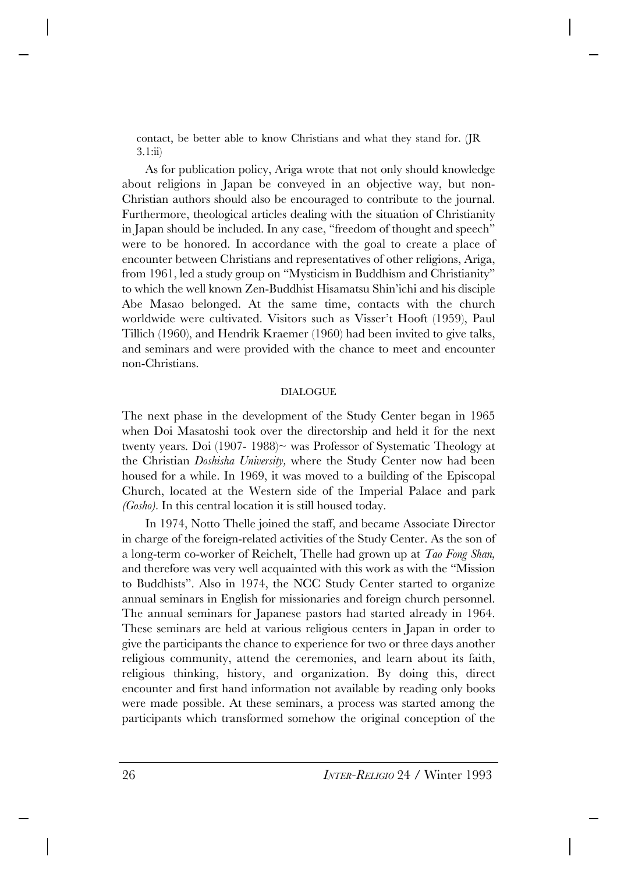contact, be better able to know Christians and what they stand for. (JR 3.1:ii)

As for publication policy, Ariga wrote that not only should knowledge about religions in Japan be conveyed in an objective way, but non-Christian authors should also be encouraged to contribute to the journal. Furthermore, theological articles dealing with the situation of Christianity in Japan should be included. In any case, "freedom of thought and speech" were to be honored. In accordance with the goal to create a place of encounter between Christians and representatives of other religions, Ariga, from 1961, led a study group on "Mysticism in Buddhism and Christianity" to which the well known Zen-Buddhist Hisamatsu Shin'ichi and his disciple Abe Masao belonged. At the same time, contacts with the church worldwide were cultivated. Visitors such as Visser't Hooft (1959), Paul Tillich (1960), and Hendrik Kraemer (1960) had been invited to give talks, and seminars and were provided with the chance to meet and encounter non-Christians.

#### **DIALOGUE**

The next phase in the development of the Study Center began in 1965 when Doi Masatoshi took over the directorship and held it for the next twenty years. Doi (1907- 1988)~ was Professor of Systematic Theology at the Christian *Doshisha University,* where the Study Center now had been housed for a while. In 1969, it was moved to a building of the Episcopal Church, located at the Western side of the Imperial Palace and park *(Gosho).* In this central location it is still housed today.

In 1974, Notto Thelle joined the staff, and became Associate Director in charge of the foreign-related activities of the Study Center. As the son of a long-term co-worker of Reichelt, Thelle had grown up at *Tao Fong Shan,* and therefore was very well acquainted with this work as with the "Mission to Buddhists". Also in 1974, the NCC Study Center started to organize annual seminars in English for missionaries and foreign church personnel. The annual seminars for Japanese pastors had started already in 1964. These seminars are held at various religious centers in Japan in order to give the participants the chance to experience for two or three days another religious community, attend the ceremonies, and learn about its faith, religious thinking, history, and organization. By doing this, direct encounter and first hand information not available by reading only books were made possible. At these seminars, a process was started among the participants which transformed somehow the original conception of the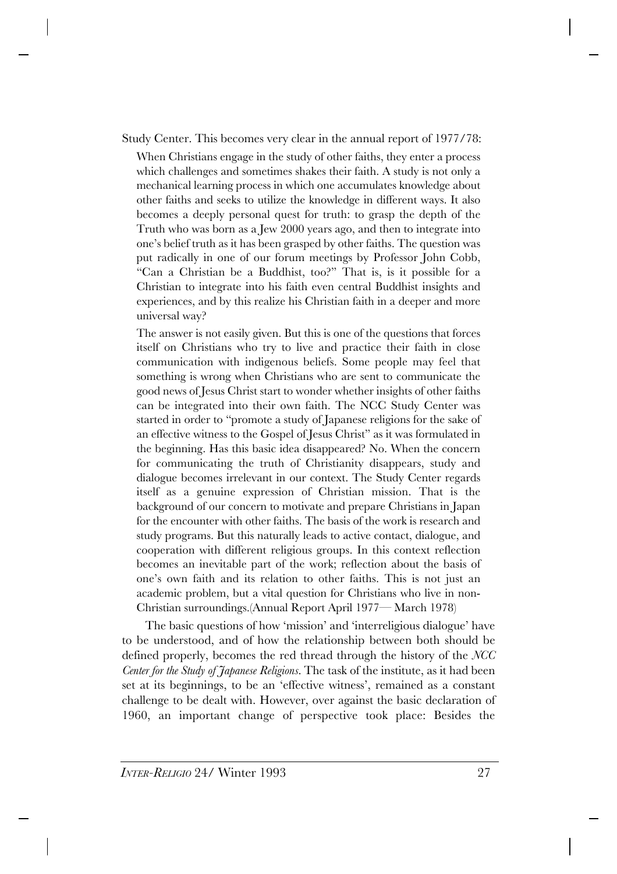Study Center. This becomes very clear in the annual report of 1977/78:

When Christians engage in the study of other faiths, they enter a process which challenges and sometimes shakes their faith. A study is not only a mechanical learning process in which one accumulates knowledge about other faiths and seeks to utilize the knowledge in different ways. It also becomes a deeply personal quest for truth: to grasp the depth of the Truth who was born as a Jew 2000 years ago, and then to integrate into one's belief truth as it has been grasped by other faiths. The question was put radically in one of our forum meetings by Professor John Cobb, "Can a Christian be a Buddhist, too?" That is, is it possible for a Christian to integrate into his faith even central Buddhist insights and experiences, and by this realize his Christian faith in a deeper and more universal way?

The answer is not easily given. But this is one of the questions that forces itself on Christians who try to live and practice their faith in close communication with indigenous beliefs. Some people may feel that something is wrong when Christians who are sent to communicate the good news of Jesus Christ start to wonder whether insights of other faiths can be integrated into their own faith. The NCC Study Center was started in order to "promote a study of Japanese religions for the sake of an effective witness to the Gospel of Jesus Christ" as it was formulated in the beginning. Has this basic idea disappeared? No. When the concern for communicating the truth of Christianity disappears, study and dialogue becomes irrelevant in our context. The Study Center regards itself as a genuine expression of Christian mission. That is the background of our concern to motivate and prepare Christians in Japan for the encounter with other faiths. The basis of the work is research and study programs. But this naturally leads to active contact, dialogue, and cooperation with different religious groups. In this context reflection becomes an inevitable part of the work; reflection about the basis of one's own faith and its relation to other faiths. This is not just an academic problem, but a vital question for Christians who live in non-Christian surroundings.(Annual Report April 1977— March 1978)

The basic questions of how 'mission' and 'interreligious dialogue' have to be understood, and of how the relationship between both should be defined properly, becomes the red thread through the history of the *NCC Center for the Study of Japanese Religions.* The task of the institute, as it had been set at its beginnings, to be an 'effective witness', remained as a constant challenge to be dealt with. However, over against the basic declaration of 1960, an important change of perspective took place: Besides the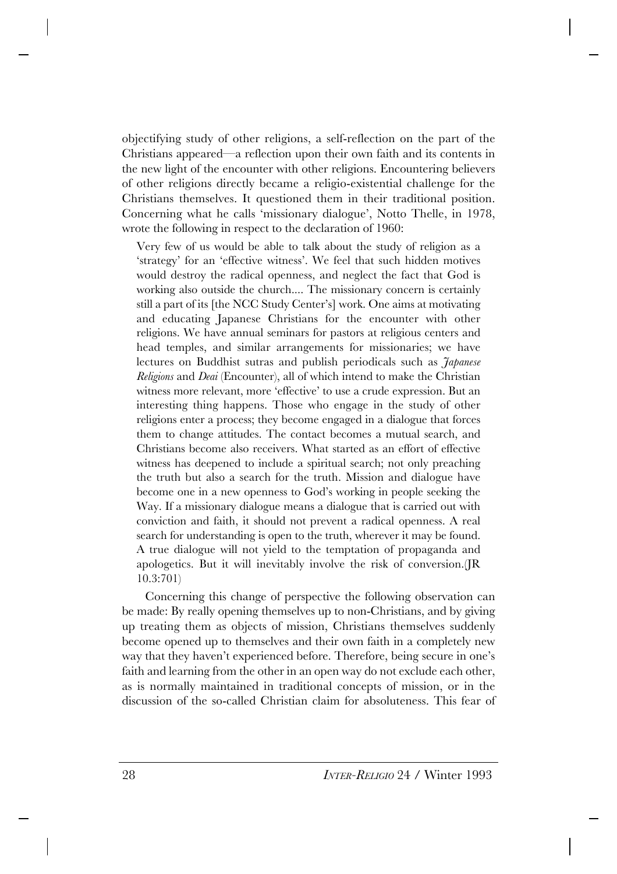objectifying study of other religions, a self-reflection on the part of the Christians appeared—a reflection upon their own faith and its contents in the new light of the encounter with other religions. Encountering believers of other religions directly became a religio-existential challenge for the Christians themselves. It questioned them in their traditional position. Concerning what he calls 'missionary dialogue', Notto Thelle, in 1978, wrote the following in respect to the declaration of 1960:

Very few of us would be able to talk about the study of religion as a 'strategy' for an 'effective witness'. We feel that such hidden motives would destroy the radical openness, and neglect the fact that God is working also outside the church.... The missionary concern is certainly still a part of its [the NCC Study Center's] work. One aims at motivating and educating Japanese Christians for the encounter with other religions. We have annual seminars for pastors at religious centers and head temples, and similar arrangements for missionaries; we have lectures on Buddhist sutras and publish periodicals such as *Japanese Religions* and *Deai* (Encounter), all of which intend to make the Christian witness more relevant, more 'effective' to use a crude expression. But an interesting thing happens. Those who engage in the study of other religions enter a process; they become engaged in a dialogue that forces them to change attitudes. The contact becomes a mutual search, and Christians become also receivers. What started as an effort of effective witness has deepened to include a spiritual search; not only preaching the truth but also a search for the truth. Mission and dialogue have become one in a new openness to God's working in people seeking the Way. If a missionary dialogue means a dialogue that is carried out with conviction and faith, it should not prevent a radical openness. A real search for understanding is open to the truth, wherever it may be found. A true dialogue will not yield to the temptation of propaganda and apologetics. But it will inevitably involve the risk of conversion.(JR 10.3:701)

Concerning this change of perspective the following observation can be made: By really opening themselves up to non-Christians, and by giving up treating them as objects of mission, Christians themselves suddenly become opened up to themselves and their own faith in a completely new way that they haven't experienced before. Therefore, being secure in one's faith and learning from the other in an open way do not exclude each other, as is normally maintained in traditional concepts of mission, or in the discussion of the so-called Christian claim for absoluteness. This fear of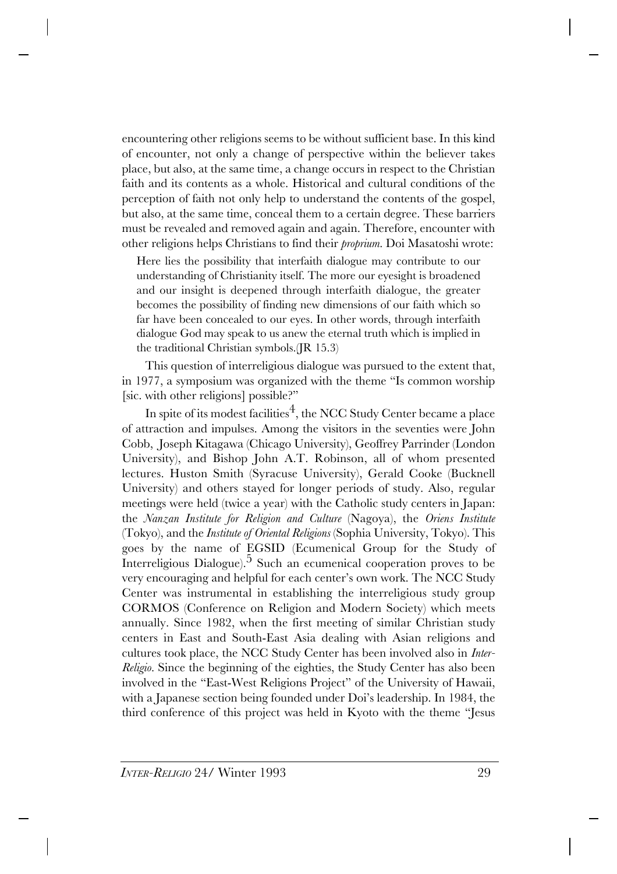encountering other religions seems to be without sufficient base. In this kind of encounter, not only a change of perspective within the believer takes place, but also, at the same time, a change occurs in respect to the Christian faith and its contents as a whole. Historical and cultural conditions of the perception of faith not only help to understand the contents of the gospel, but also, at the same time, conceal them to a certain degree. These barriers must be revealed and removed again and again. Therefore, encounter with other religions helps Christians to find their *proprium.* Doi Masatoshi wrote:

Here lies the possibility that interfaith dialogue may contribute to our understanding of Christianity itself. The more our eyesight is broadened and our insight is deepened through interfaith dialogue, the greater becomes the possibility of finding new dimensions of our faith which so far have been concealed to our eyes. In other words, through interfaith dialogue God may speak to us anew the eternal truth which is implied in the traditional Christian symbols.(JR 15.3)

This question of interreligious dialogue was pursued to the extent that, in 1977, a symposium was organized with the theme "Is common worship [sic. with other religions] possible?"

In spite of its modest facilities<sup>4</sup>, the NCC Study Center became a place of attraction and impulses. Among the visitors in the seventies were John Cobb, Joseph Kitagawa (Chicago University), Geoffrey Parrinder (London University), and Bishop John A.T. Robinson, all of whom presented lectures. Huston Smith (Syracuse University), Gerald Cooke (Bucknell University) and others stayed for longer periods of study. Also, regular meetings were held (twice a year) with the Catholic study centers in Japan: the *Nanzan Institute for Religion and Culture* (Nagoya), the *Oriens Institute* (Tokyo), and the *Institute of Oriental Religions* (Sophia University, Tokyo). This goes by the name of EGSID (Ecumenical Group for the Study of Interreligious Dialogue).<sup>5</sup> Such an ecumenical cooperation proves to be very encouraging and helpful for each center's own work. The NCC Study Center was instrumental in establishing the interreligious study group CORMOS (Conference on Religion and Modern Society) which meets annually. Since 1982, when the first meeting of similar Christian study centers in East and South-East Asia dealing with Asian religions and cultures took place, the NCC Study Center has been involved also in *Inter-Religio.* Since the beginning of the eighties, the Study Center has also been involved in the "East-West Religions Project" of the University of Hawaii, with a Japanese section being founded under Doi's leadership. In 1984, the third conference of this project was held in Kyoto with the theme "Jesus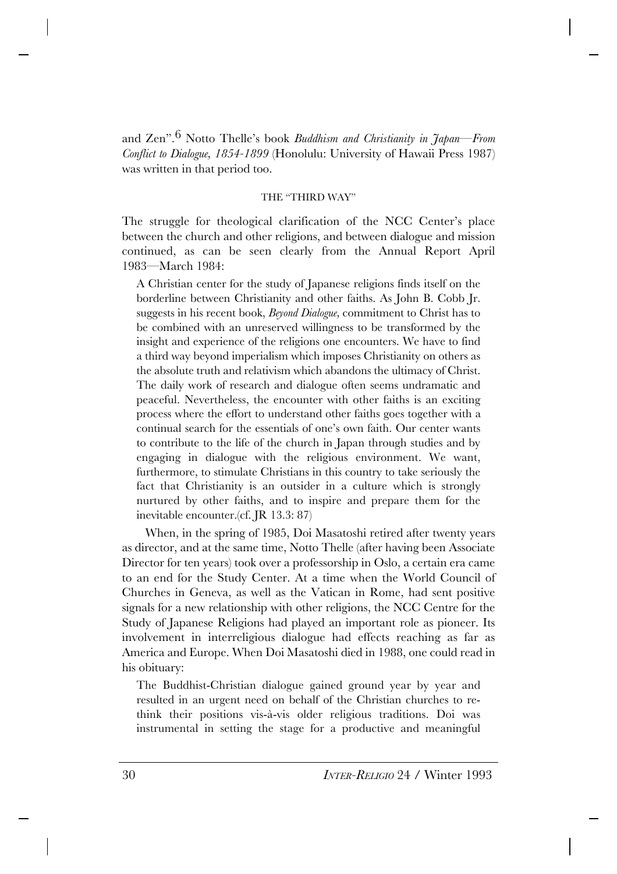and Zen".6 Notto Thelle's book *Buddhism and Christianity in Japan—From Conflict to Dialogue, 1854-1899* (Honolulu: University of Hawaii Press 1987) was written in that period too.

## THE "THIRD WAY"

The struggle for theological clarification of the NCC Center's place between the church and other religions, and between dialogue and mission continued, as can be seen clearly from the Annual Report April 1983—March 1984:

A Christian center for the study of Japanese religions finds itself on the borderline between Christianity and other faiths. As John B. Cobb Jr. suggests in his recent book, *Beyond Dialogue,* commitment to Christ has to be combined with an unreserved willingness to be transformed by the insight and experience of the religions one encounters. We have to find a third way beyond imperialism which imposes Christianity on others as the absolute truth and relativism which abandons the ultimacy of Christ. The daily work of research and dialogue often seems undramatic and peaceful. Nevertheless, the encounter with other faiths is an exciting process where the effort to understand other faiths goes together with a continual search for the essentials of one's own faith. Our center wants to contribute to the life of the church in Japan through studies and by engaging in dialogue with the religious environment. We want, furthermore, to stimulate Christians in this country to take seriously the fact that Christianity is an outsider in a culture which is strongly nurtured by other faiths, and to inspire and prepare them for the inevitable encounter.(cf. JR 13.3: 87)

When, in the spring of 1985, Doi Masatoshi retired after twenty years as director, and at the same time, Notto Thelle (after having been Associate Director for ten years) took over a professorship in Oslo, a certain era came to an end for the Study Center. At a time when the World Council of Churches in Geneva, as well as the Vatican in Rome, had sent positive signals for a new relationship with other religions, the NCC Centre for the Study of Japanese Religions had played an important role as pioneer. Its involvement in interreligious dialogue had effects reaching as far as America and Europe. When Doi Masatoshi died in 1988, one could read in his obituary:

The Buddhist-Christian dialogue gained ground year by year and resulted in an urgent need on behalf of the Christian churches to rethink their positions vis-à-vis older religious traditions. Doi was instrumental in setting the stage for a productive and meaningful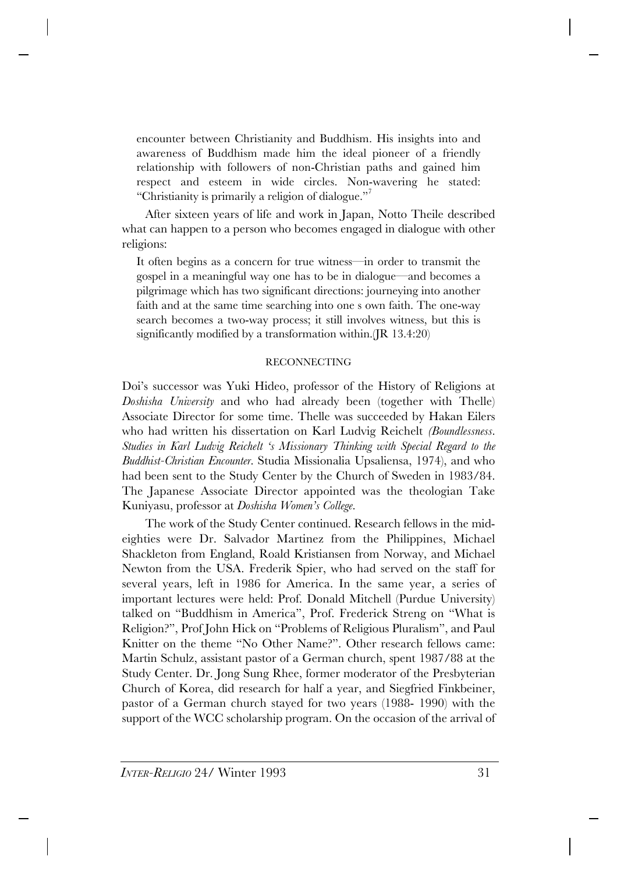encounter between Christianity and Buddhism. His insights into and awareness of Buddhism made him the ideal pioneer of a friendly relationship with followers of non-Christian paths and gained him respect and esteem in wide circles. Non-wavering he stated: "Christianity is primarily a religion of dialogue."<sup>7</sup>

After sixteen years of life and work in Japan, Notto Theile described what can happen to a person who becomes engaged in dialogue with other religions:

It often begins as a concern for true witness—in order to transmit the gospel in a meaningful way one has to be in dialogue—and becomes a pilgrimage which has two significant directions: journeying into another faith and at the same time searching into one s own faith. The one-way search becomes a two-way process; it still involves witness, but this is significantly modified by a transformation within.(JR 13.4:20)

#### RECONNECTING

Doi's successor was Yuki Hideo, professor of the History of Religions at *Doshisha University* and who had already been (together with Thelle) Associate Director for some time. Thelle was succeeded by Hakan Eilers who had written his dissertation on Karl Ludvig Reichelt *(Boundlessness. Studies in Karl Ludvig Reichelt 's Missionary Thinking with Special Regard to the Buddhist-Christian Encounter.* Studia Missionalia Upsaliensa, 1974), and who had been sent to the Study Center by the Church of Sweden in 1983/84. The Japanese Associate Director appointed was the theologian Take Kuniyasu, professor at *Doshisha Women's College.*

The work of the Study Center continued. Research fellows in the mideighties were Dr. Salvador Martinez from the Philippines, Michael Shackleton from England, Roald Kristiansen from Norway, and Michael Newton from the USA. Frederik Spier, who had served on the staff for several years, left in 1986 for America. In the same year, a series of important lectures were held: Prof. Donald Mitchell (Purdue University) talked on "Buddhism in America", Prof. Frederick Streng on "What is Religion?", Prof John Hick on "Problems of Religious Pluralism", and Paul Knitter on the theme "No Other Name?". Other research fellows came: Martin Schulz, assistant pastor of a German church, spent 1987/88 at the Study Center. Dr. Jong Sung Rhee, former moderator of the Presbyterian Church of Korea, did research for half a year, and Siegfried Finkbeiner, pastor of a German church stayed for two years (1988- 1990) with the support of the WCC scholarship program. On the occasion of the arrival of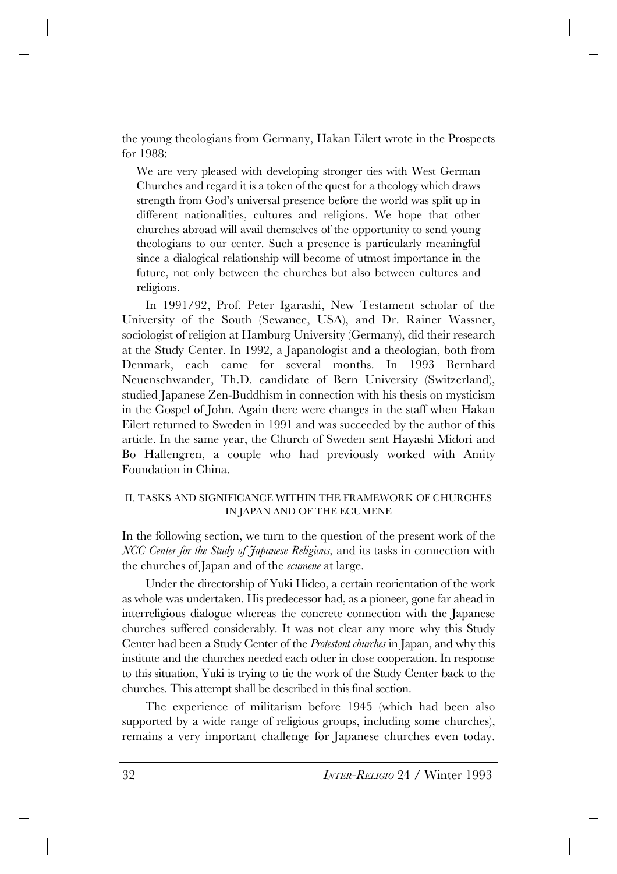the young theologians from Germany, Hakan Eilert wrote in the Prospects for 1988:

We are very pleased with developing stronger ties with West German Churches and regard it is a token of the quest for a theology which draws strength from God's universal presence before the world was split up in different nationalities, cultures and religions. We hope that other churches abroad will avail themselves of the opportunity to send young theologians to our center. Such a presence is particularly meaningful since a dialogical relationship will become of utmost importance in the future, not only between the churches but also between cultures and religions.

In 1991/92, Prof. Peter Igarashi, New Testament scholar of the University of the South (Sewanee, USA), and Dr. Rainer Wassner, sociologist of religion at Hamburg University (Germany), did their research at the Study Center. In 1992, a Japanologist and a theologian, both from Denmark, each came for several months. In 1993 Bernhard Neuenschwander, Th.D. candidate of Bern University (Switzerland), studied Japanese Zen-Buddhism in connection with his thesis on mysticism in the Gospel of John. Again there were changes in the staff when Hakan Eilert returned to Sweden in 1991 and was succeeded by the author of this article. In the same year, the Church of Sweden sent Hayashi Midori and Bo Hallengren, a couple who had previously worked with Amity Foundation in China.

## II. TASKS AND SIGNIFICANCE WITHIN THE FRAMEWORK OF CHURCHES IN JAPAN AND OF THE ECUMENE

In the following section, we turn to the question of the present work of the *NCC Center for the Study of Japanese Religions,* and its tasks in connection with the churches of Japan and of the *ecumene* at large.

Under the directorship of Yuki Hideo, a certain reorientation of the work as whole was undertaken. His predecessor had, as a pioneer, gone far ahead in interreligious dialogue whereas the concrete connection with the Japanese churches suffered considerably. It was not clear any more why this Study Center had been a Study Center of the *Protestant churches* in Japan, and why this institute and the churches needed each other in close cooperation. In response to this situation, Yuki is trying to tie the work of the Study Center back to the churches. This attempt shall be described in this final section.

The experience of militarism before 1945 (which had been also supported by a wide range of religious groups, including some churches), remains a very important challenge for Japanese churches even today.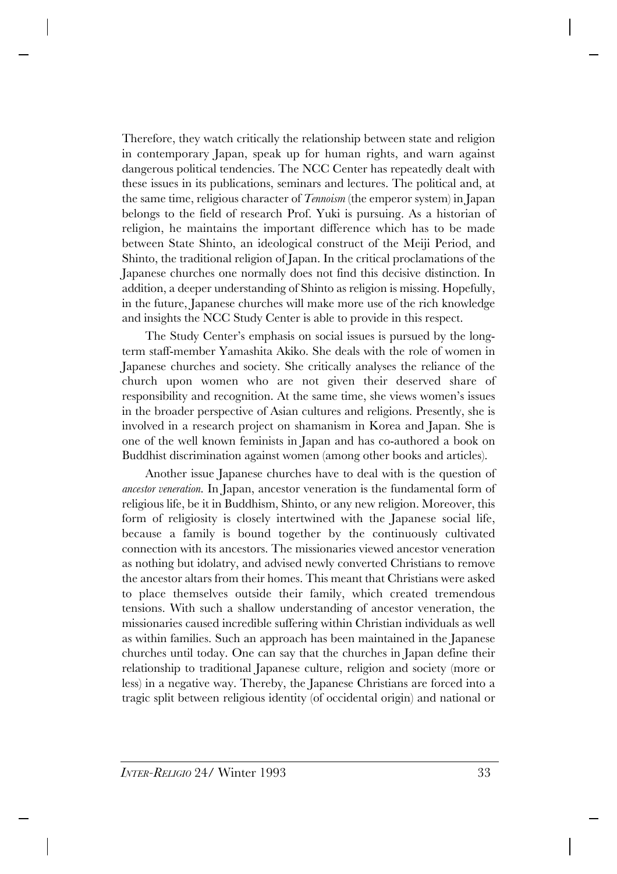Therefore, they watch critically the relationship between state and religion in contemporary Japan, speak up for human rights, and warn against dangerous political tendencies. The NCC Center has repeatedly dealt with these issues in its publications, seminars and lectures. The political and, at the same time, religious character of *Tennoism* (the emperor system) in Japan belongs to the field of research Prof. Yuki is pursuing. As a historian of religion, he maintains the important difference which has to be made between State Shinto, an ideological construct of the Meiji Period, and Shinto, the traditional religion of Japan. In the critical proclamations of the Japanese churches one normally does not find this decisive distinction. In addition, a deeper understanding of Shinto as religion is missing. Hopefully, in the future, Japanese churches will make more use of the rich knowledge and insights the NCC Study Center is able to provide in this respect.

The Study Center's emphasis on social issues is pursued by the longterm staff-member Yamashita Akiko. She deals with the role of women in Japanese churches and society. She critically analyses the reliance of the church upon women who are not given their deserved share of responsibility and recognition. At the same time, she views women's issues in the broader perspective of Asian cultures and religions. Presently, she is involved in a research project on shamanism in Korea and Japan. She is one of the well known feminists in Japan and has co-authored a book on Buddhist discrimination against women (among other books and articles).

Another issue Japanese churches have to deal with is the question of *ancestor veneration.* In Japan, ancestor veneration is the fundamental form of religious life, be it in Buddhism, Shinto, or any new religion. Moreover, this form of religiosity is closely intertwined with the Japanese social life, because a family is bound together by the continuously cultivated connection with its ancestors. The missionaries viewed ancestor veneration as nothing but idolatry, and advised newly converted Christians to remove the ancestor altars from their homes. This meant that Christians were asked to place themselves outside their family, which created tremendous tensions. With such a shallow understanding of ancestor veneration, the missionaries caused incredible suffering within Christian individuals as well as within families. Such an approach has been maintained in the Japanese churches until today. One can say that the churches in Japan define their relationship to traditional Japanese culture, religion and society (more or less) in a negative way. Thereby, the Japanese Christians are forced into a tragic split between religious identity (of occidental origin) and national or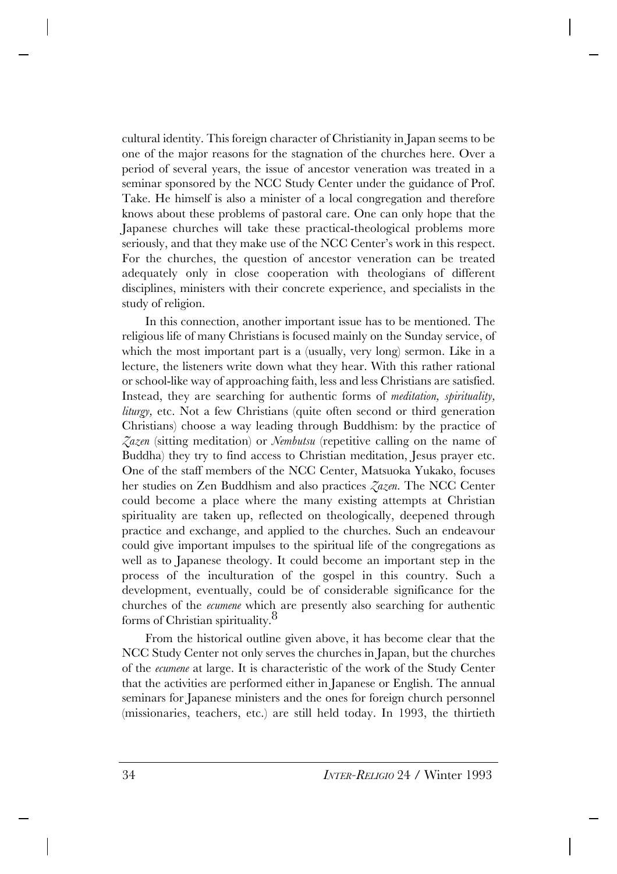cultural identity. This foreign character of Christianity in Japan seems to be one of the major reasons for the stagnation of the churches here. Over a period of several years, the issue of ancestor veneration was treated in a seminar sponsored by the NCC Study Center under the guidance of Prof. Take. He himself is also a minister of a local congregation and therefore knows about these problems of pastoral care. One can only hope that the Japanese churches will take these practical-theological problems more seriously, and that they make use of the NCC Center's work in this respect. For the churches, the question of ancestor veneration can be treated adequately only in close cooperation with theologians of different disciplines, ministers with their concrete experience, and specialists in the study of religion.

In this connection, another important issue has to be mentioned. The religious life of many Christians is focused mainly on the Sunday service, of which the most important part is a (usually, very long) sermon. Like in a lecture, the listeners write down what they hear. With this rather rational or school-like way of approaching faith, less and less Christians are satisfied. Instead, they are searching for authentic forms of *meditation, spirituality, liturgy*, etc. Not a few Christians (quite often second or third generation Christians) choose a way leading through Buddhism: by the practice of *Zazen* (sitting meditation) or *Nembutsu* (repetitive calling on the name of Buddha) they try to find access to Christian meditation, Jesus prayer etc. One of the staff members of the NCC Center, Matsuoka Yukako, focuses her studies on Zen Buddhism and also practices *Zazen.* The NCC Center could become a place where the many existing attempts at Christian spirituality are taken up, reflected on theologically, deepened through practice and exchange, and applied to the churches. Such an endeavour could give important impulses to the spiritual life of the congregations as well as to Japanese theology. It could become an important step in the process of the inculturation of the gospel in this country. Such a development, eventually, could be of considerable significance for the churches of the *ecumene* which are presently also searching for authentic forms of Christian spirituality.<sup>8</sup>

From the historical outline given above, it has become clear that the NCC Study Center not only serves the churches in Japan, but the churches of the *ecumene* at large. It is characteristic of the work of the Study Center that the activities are performed either in Japanese or English. The annual seminars for Japanese ministers and the ones for foreign church personnel (missionaries, teachers, etc.) are still held today. In 1993, the thirtieth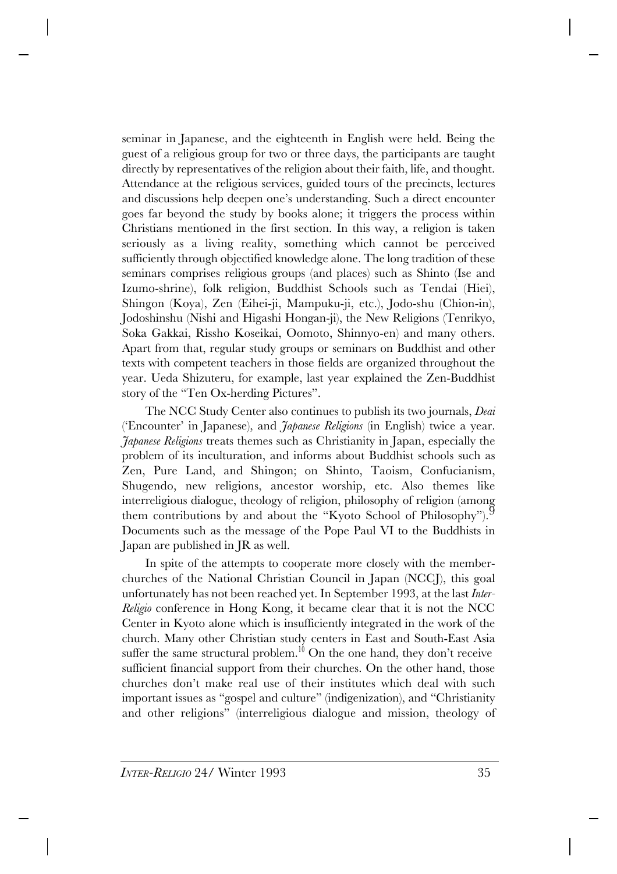seminar in Japanese, and the eighteenth in English were held. Being the guest of a religious group for two or three days, the participants are taught directly by representatives of the religion about their faith, life, and thought. Attendance at the religious services, guided tours of the precincts, lectures and discussions help deepen one's understanding. Such a direct encounter goes far beyond the study by books alone; it triggers the process within Christians mentioned in the first section. In this way, a religion is taken seriously as a living reality, something which cannot be perceived sufficiently through objectified knowledge alone. The long tradition of these seminars comprises religious groups (and places) such as Shinto (Ise and Izumo-shrine), folk religion, Buddhist Schools such as Tendai (Hiei), Shingon (Koya), Zen (Eihei-ji, Mampuku-ji, etc.), Jodo-shu (Chion-in), Jodoshinshu (Nishi and Higashi Hongan-ji), the New Religions (Tenrikyo, Soka Gakkai, Rissho Koseikai, Oomoto, Shinnyo-en) and many others. Apart from that, regular study groups or seminars on Buddhist and other texts with competent teachers in those fields are organized throughout the year. Ueda Shizuteru, for example, last year explained the Zen-Buddhist story of the "Ten Ox-herding Pictures".

The NCC Study Center also continues to publish its two journals, *Deai* ('Encounter' in Japanese), and *Japanese Religions* (in English) twice a year. *Japanese Religions* treats themes such as Christianity in Japan, especially the problem of its inculturation, and informs about Buddhist schools such as Zen, Pure Land, and Shingon; on Shinto, Taoism, Confucianism, Shugendo, new religions, ancestor worship, etc. Also themes like interreligious dialogue, theology of religion, philosophy of religion (among them contributions by and about the "Kyoto School of Philosophy").<sup>9</sup> Documents such as the message of the Pope Paul VI to the Buddhists in Japan are published in JR as well.

In spite of the attempts to cooperate more closely with the memberchurches of the National Christian Council in Japan (NCCJ), this goal unfortunately has not been reached yet. In September 1993, at the last *Inter-Religio* conference in Hong Kong, it became clear that it is not the NCC Center in Kyoto alone which is insufficiently integrated in the work of the church. Many other Christian study centers in East and South-East Asia suffer the same structural problem.<sup>10</sup> On the one hand, they don't receive sufficient financial support from their churches. On the other hand, those churches don't make real use of their institutes which deal with such important issues as "gospel and culture" (indigenization), and "Christianity and other religions" (interreligious dialogue and mission, theology of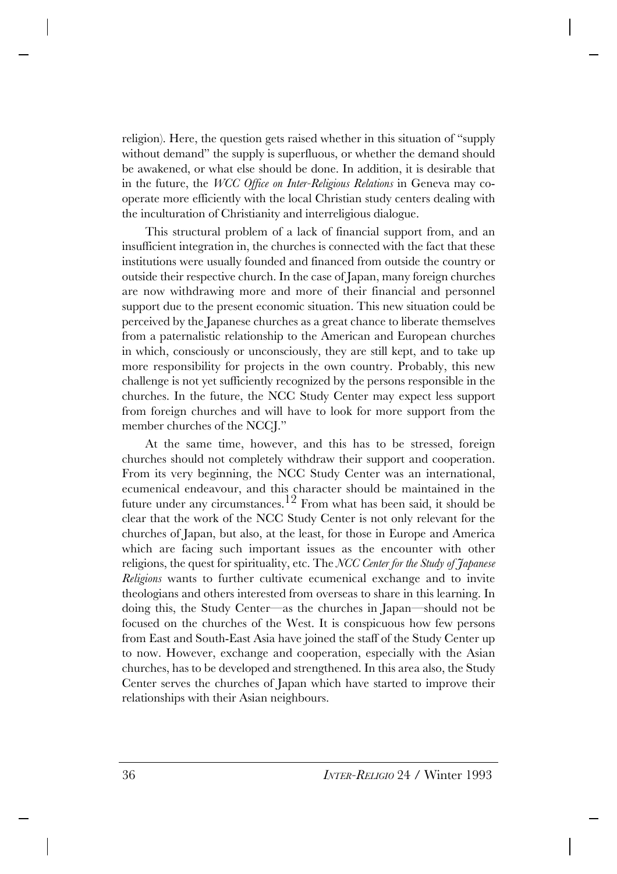religion). Here, the question gets raised whether in this situation of "supply without demand" the supply is superfluous, or whether the demand should be awakened, or what else should be done. In addition, it is desirable that in the future, the *WCC Office on Inter-Religious Relations* in Geneva may cooperate more efficiently with the local Christian study centers dealing with the inculturation of Christianity and interreligious dialogue.

This structural problem of a lack of financial support from, and an insufficient integration in, the churches is connected with the fact that these institutions were usually founded and financed from outside the country or outside their respective church. In the case of Japan, many foreign churches are now withdrawing more and more of their financial and personnel support due to the present economic situation. This new situation could be perceived by the Japanese churches as a great chance to liberate themselves from a paternalistic relationship to the American and European churches in which, consciously or unconsciously, they are still kept, and to take up more responsibility for projects in the own country. Probably, this new challenge is not yet sufficiently recognized by the persons responsible in the churches. In the future, the NCC Study Center may expect less support from foreign churches and will have to look for more support from the member churches of the NCCJ."

At the same time, however, and this has to be stressed, foreign churches should not completely withdraw their support and cooperation. From its very beginning, the NCC Study Center was an international, ecumenical endeavour, and this character should be maintained in the future under any circumstances.<sup>12</sup> From what has been said, it should be clear that the work of the NCC Study Center is not only relevant for the churches of Japan, but also, at the least, for those in Europe and America which are facing such important issues as the encounter with other religions, the quest for spirituality, etc. The *NCC Center for the Study of Japanese Religions* wants to further cultivate ecumenical exchange and to invite theologians and others interested from overseas to share in this learning. In doing this, the Study Center—as the churches in Japan—should not be focused on the churches of the West. It is conspicuous how few persons from East and South-East Asia have joined the staff of the Study Center up to now. However, exchange and cooperation, especially with the Asian churches, has to be developed and strengthened. In this area also, the Study Center serves the churches of Japan which have started to improve their relationships with their Asian neighbours.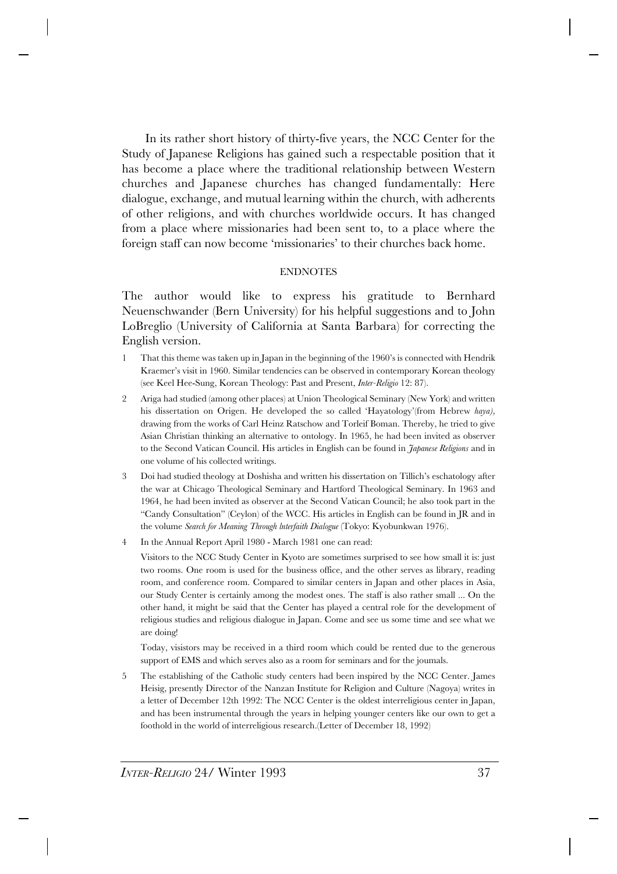In its rather short history of thirty-five years, the NCC Center for the Study of Japanese Religions has gained such a respectable position that it has become a place where the traditional relationship between Western churches and Japanese churches has changed fundamentally: Here dialogue, exchange, and mutual learning within the church, with adherents of other religions, and with churches worldwide occurs. It has changed from a place where missionaries had been sent to, to a place where the foreign staff can now become 'missionaries' to their churches back home.

#### **ENDNOTES**

The author would like to express his gratitude to Bernhard Neuenschwander (Bern University) for his helpful suggestions and to John LoBreglio (University of California at Santa Barbara) for correcting the English version.

- 1 That this theme was taken up in Japan in the beginning of the 1960's is connected with Hendrik Kraemer's visit in 1960. Similar tendencies can be observed in contemporary Korean theology (see Keel Hee-Sung, Korean Theology: Past and Present, *Inter-Religio* 12: 87).
- 2 Ariga had studied (among other places) at Union Theological Seminary (New York) and written his dissertation on Origen. He developed the so called 'Hayatology'(from Hebrew *haya),* drawing from the works of Carl Heinz Ratschow and Torleif Boman. Thereby, he tried to give Asian Christian thinking an alternative to ontology. In 1965, he had been invited as observer to the Second Vatican Council. His articles in English can be found in *Japanese Religions* and in one volume of his collected writings.
- 3 Doi had studied theology at Doshisha and written his dissertation on Tillich's eschatology after the war at Chicago Theological Seminary and Hartford Theological Seminary. In 1963 and 1964, he had been invited as observer at the Second Vatican Council; he also took part in the "Candy Consultation" (Ceylon) of the WCC. His articles in English can be found in JR and in the volume *Search for Meaning Through lnterfaith Dialogue* (Tokyo: Kyobunkwan 1976).
- 4 In the Annual Report April 1980 March 1981 one can read:

Visitors to the NCC Study Center in Kyoto are sometimes surprised to see how small it is: just two rooms. One room is used for the business office, and the other serves as library, reading room, and conference room. Compared to similar centers in Japan and other places in Asia, our Study Center is certainly among the modest ones. The staff is also rather small ... On the other hand, it might be said that the Center has played a central role for the development of religious studies and religious dialogue in Japan. Come and see us some time and see what we are doing!

Today, visistors may be received in a third room which could be rented due to the generous support of EMS and which serves also as a room for seminars and for the joumals.

5 The establishing of the Catholic study centers had been inspired by the NCC Center. James Heisig, presently Director of the Nanzan Institute for Religion and Culture (Nagoya) writes in a letter of December 12th 1992: The NCC Center is the oldest interreligious center in Japan, and has been instrumental through the years in helping younger centers like our own to get a foothold in the world of interreligious research.(Letter of December 18, 1992)